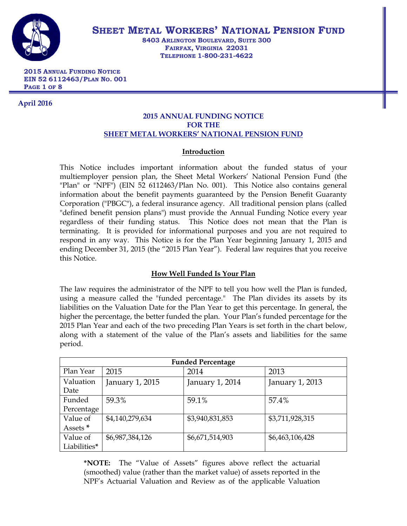

**8403 ARLINGTON BOULEVARD, SUITE 300 FAIRFAX, VIRGINIA 22031 TELEPHONE 1-800-231-4622**

**2015 ANNUAL FUNDING NOTICE EIN 52 6112463/PLAN NO. 001 PAGE 1 OF 8**

### **April 2016**

## **2015 ANNUAL FUNDING NOTICE FOR THE SHEET METAL WORKERS' NATIONAL PENSION FUND**

# **Introduction**

This Notice includes important information about the funded status of your multiemployer pension plan, the Sheet Metal Workers' National Pension Fund (the "Plan" or "NPF") (EIN 52 6112463/Plan No. 001). This Notice also contains general information about the benefit payments guaranteed by the Pension Benefit Guaranty Corporation ("PBGC"), a federal insurance agency. All traditional pension plans (called "defined benefit pension plans") must provide the Annual Funding Notice every year regardless of their funding status. This Notice does not mean that the Plan is terminating. It is provided for informational purposes and you are not required to respond in any way. This Notice is for the Plan Year beginning January 1, 2015 and ending December 31, 2015 (the "2015 Plan Year"). Federal law requires that you receive this Notice.

## **How Well Funded Is Your Plan**

The law requires the administrator of the NPF to tell you how well the Plan is funded, using a measure called the "funded percentage." The Plan divides its assets by its liabilities on the Valuation Date for the Plan Year to get this percentage. In general, the higher the percentage, the better funded the plan. Your Plan's funded percentage for the 2015 Plan Year and each of the two preceding Plan Years is set forth in the chart below, along with a statement of the value of the Plan's assets and liabilities for the same period.

| <b>Funded Percentage</b> |                 |                 |                 |  |
|--------------------------|-----------------|-----------------|-----------------|--|
| Plan Year                | 2015            | 2014            | 2013            |  |
| Valuation                | January 1, 2015 | January 1, 2014 | January 1, 2013 |  |
| Date                     |                 |                 |                 |  |
| Funded                   | 59.3%           | 59.1%           | 57.4%           |  |
| Percentage               |                 |                 |                 |  |
| Value of                 | \$4,140,279,634 | \$3,940,831,853 | \$3,711,928,315 |  |
| Assets *                 |                 |                 |                 |  |
| Value of                 | \$6,987,384,126 | \$6,671,514,903 | \$6,463,106,428 |  |
| Liabilities*             |                 |                 |                 |  |

**\*NOTE:** The "Value of Assets" figures above reflect the actuarial (smoothed) value (rather than the market value) of assets reported in the NPF's Actuarial Valuation and Review as of the applicable Valuation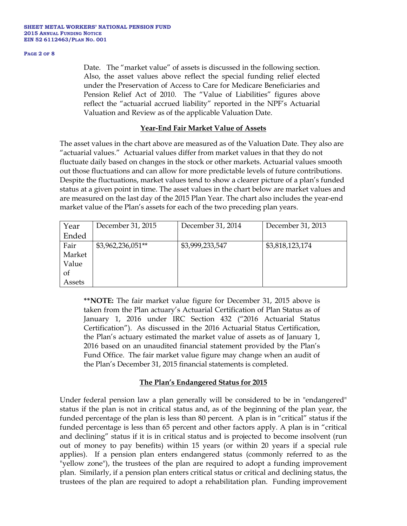#### **PAGE 2 OF 8**

Date. The "market value" of assets is discussed in the following section. Also, the asset values above reflect the special funding relief elected under the Preservation of Access to Care for Medicare Beneficiaries and Pension Relief Act of 2010. The "Value of Liabilities" figures above reflect the "actuarial accrued liability" reported in the NPF's Actuarial Valuation and Review as of the applicable Valuation Date.

### **Year-End Fair Market Value of Assets**

The asset values in the chart above are measured as of the Valuation Date. They also are "actuarial values." Actuarial values differ from market values in that they do not fluctuate daily based on changes in the stock or other markets. Actuarial values smooth out those fluctuations and can allow for more predictable levels of future contributions. Despite the fluctuations, market values tend to show a clearer picture of a plan's funded status at a given point in time. The asset values in the chart below are market values and are measured on the last day of the 2015 Plan Year. The chart also includes the year-end market value of the Plan's assets for each of the two preceding plan years.

| Year                          | December 31, 2015 | December 31, 2014 | December 31, 2013 |
|-------------------------------|-------------------|-------------------|-------------------|
| Ended                         |                   |                   |                   |
| Fair<br>Market<br>Value<br>οf | \$3,962,236,051** | \$3,999,233,547   | \$3,818,123,174   |
| Assets                        |                   |                   |                   |

**\*\*NOTE:** The fair market value figure for December 31, 2015 above is taken from the Plan actuary's Actuarial Certification of Plan Status as of January 1, 2016 under IRC Section 432 ("2016 Actuarial Status Certification"). As discussed in the 2016 Actuarial Status Certification, the Plan's actuary estimated the market value of assets as of January 1, 2016 based on an unaudited financial statement provided by the Plan's Fund Office. The fair market value figure may change when an audit of the Plan's December 31, 2015 financial statements is completed.

## **The Plan's Endangered Status for 2015**

Under federal pension law a plan generally will be considered to be in "endangered" status if the plan is not in critical status and, as of the beginning of the plan year, the funded percentage of the plan is less than 80 percent. A plan is in "critical" status if the funded percentage is less than 65 percent and other factors apply. A plan is in "critical and declining" status if it is in critical status and is projected to become insolvent (run out of money to pay benefits) within 15 years (or within 20 years if a special rule applies). If a pension plan enters endangered status (commonly referred to as the "yellow zone"), the trustees of the plan are required to adopt a funding improvement plan. Similarly, if a pension plan enters critical status or critical and declining status, the trustees of the plan are required to adopt a rehabilitation plan. Funding improvement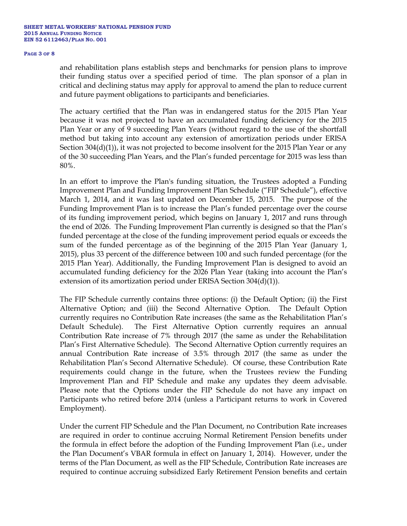#### **PAGE 3 OF 8**

and rehabilitation plans establish steps and benchmarks for pension plans to improve their funding status over a specified period of time. The plan sponsor of a plan in critical and declining status may apply for approval to amend the plan to reduce current and future payment obligations to participants and beneficiaries.

The actuary certified that the Plan was in endangered status for the 2015 Plan Year because it was not projected to have an accumulated funding deficiency for the 2015 Plan Year or any of 9 succeeding Plan Years (without regard to the use of the shortfall method but taking into account any extension of amortization periods under ERISA Section  $304(d)(1)$ , it was not projected to become insolvent for the 2015 Plan Year or any of the 30 succeeding Plan Years, and the Plan's funded percentage for 2015 was less than 80%.

In an effort to improve the Plan's funding situation, the Trustees adopted a Funding Improvement Plan and Funding Improvement Plan Schedule ("FIP Schedule"), effective March 1, 2014, and it was last updated on December 15, 2015. The purpose of the Funding Improvement Plan is to increase the Plan's funded percentage over the course of its funding improvement period, which begins on January 1, 2017 and runs through the end of 2026. The Funding Improvement Plan currently is designed so that the Plan's funded percentage at the close of the funding improvement period equals or exceeds the sum of the funded percentage as of the beginning of the 2015 Plan Year (January 1, 2015), plus 33 percent of the difference between 100 and such funded percentage (for the 2015 Plan Year). Additionally, the Funding Improvement Plan is designed to avoid an accumulated funding deficiency for the 2026 Plan Year (taking into account the Plan's extension of its amortization period under ERISA Section 304(d)(1)).

The FIP Schedule currently contains three options: (i) the Default Option; (ii) the First Alternative Option; and (iii) the Second Alternative Option. The Default Option currently requires no Contribution Rate increases (the same as the Rehabilitation Plan's Default Schedule). The First Alternative Option currently requires an annual Contribution Rate increase of 7% through 2017 (the same as under the Rehabilitation Plan's First Alternative Schedule). The Second Alternative Option currently requires an annual Contribution Rate increase of 3.5% through 2017 (the same as under the Rehabilitation Plan's Second Alternative Schedule). Of course, these Contribution Rate requirements could change in the future, when the Trustees review the Funding Improvement Plan and FIP Schedule and make any updates they deem advisable. Please note that the Options under the FIP Schedule do not have any impact on Participants who retired before 2014 (unless a Participant returns to work in Covered Employment).

Under the current FIP Schedule and the Plan Document, no Contribution Rate increases are required in order to continue accruing Normal Retirement Pension benefits under the formula in effect before the adoption of the Funding Improvement Plan (i.e., under the Plan Document's VBAR formula in effect on January 1, 2014). However, under the terms of the Plan Document, as well as the FIP Schedule, Contribution Rate increases are required to continue accruing subsidized Early Retirement Pension benefits and certain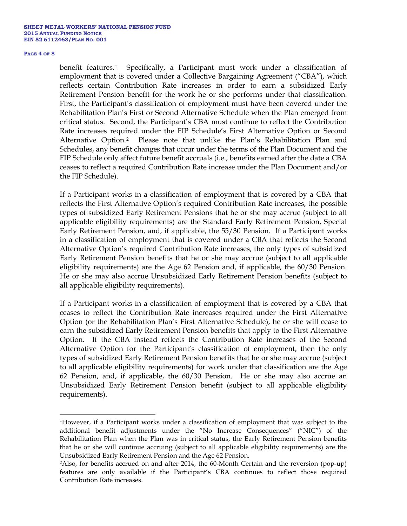#### **PAGE 4 OF 8**

benefit features.[1](#page-3-0) Specifically, a Participant must work under a classification of employment that is covered under a Collective Bargaining Agreement ("CBA"), which reflects certain Contribution Rate increases in order to earn a subsidized Early Retirement Pension benefit for the work he or she performs under that classification. First, the Participant's classification of employment must have been covered under the Rehabilitation Plan's First or Second Alternative Schedule when the Plan emerged from critical status. Second, the Participant's CBA must continue to reflect the Contribution Rate increases required under the FIP Schedule's First Alternative Option or Second Alternative Option.[2](#page-3-1) Please note that unlike the Plan's Rehabilitation Plan and Schedules, any benefit changes that occur under the terms of the Plan Document and the FIP Schedule only affect future benefit accruals (i.e., benefits earned after the date a CBA ceases to reflect a required Contribution Rate increase under the Plan Document and/or the FIP Schedule).

If a Participant works in a classification of employment that is covered by a CBA that reflects the First Alternative Option's required Contribution Rate increases, the possible types of subsidized Early Retirement Pensions that he or she may accrue (subject to all applicable eligibility requirements) are the Standard Early Retirement Pension, Special Early Retirement Pension, and, if applicable, the 55/30 Pension. If a Participant works in a classification of employment that is covered under a CBA that reflects the Second Alternative Option's required Contribution Rate increases, the only types of subsidized Early Retirement Pension benefits that he or she may accrue (subject to all applicable eligibility requirements) are the Age 62 Pension and, if applicable, the 60/30 Pension. He or she may also accrue Unsubsidized Early Retirement Pension benefits (subject to all applicable eligibility requirements).

If a Participant works in a classification of employment that is covered by a CBA that ceases to reflect the Contribution Rate increases required under the First Alternative Option (or the Rehabilitation Plan's First Alternative Schedule), he or she will cease to earn the subsidized Early Retirement Pension benefits that apply to the First Alternative Option. If the CBA instead reflects the Contribution Rate increases of the Second Alternative Option for the Participant's classification of employment, then the only types of subsidized Early Retirement Pension benefits that he or she may accrue (subject to all applicable eligibility requirements) for work under that classification are the Age 62 Pension, and, if applicable, the 60/30 Pension. He or she may also accrue an Unsubsidized Early Retirement Pension benefit (subject to all applicable eligibility requirements).

<span id="page-3-0"></span> $\frac{1}{1}$ <sup>1</sup>However, if a Participant works under a classification of employment that was subject to the additional benefit adjustments under the "No Increase Consequences" ("NIC") of the Rehabilitation Plan when the Plan was in critical status, the Early Retirement Pension benefits that he or she will continue accruing (subject to all applicable eligibility requirements) are the Unsubsidized Early Retirement Pension and the Age 62 Pension.<br><sup>2</sup>Also, for benefits accrued on and after 2014, the 60-Month Certain and the reversion (pop-up)

<span id="page-3-1"></span>features are only available if the Participant's CBA continues to reflect those required Contribution Rate increases.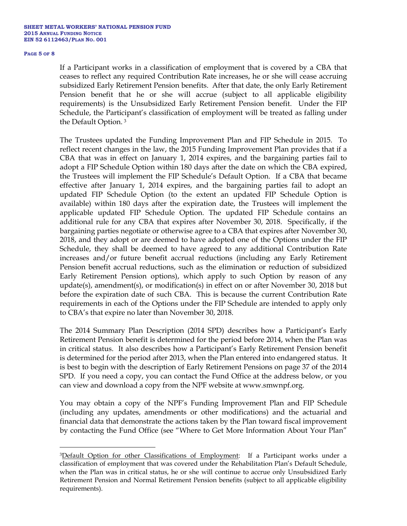#### **PAGE 5 OF 8**

 $\overline{a}$ 

If a Participant works in a classification of employment that is covered by a CBA that ceases to reflect any required Contribution Rate increases, he or she will cease accruing subsidized Early Retirement Pension benefits. After that date, the only Early Retirement Pension benefit that he or she will accrue (subject to all applicable eligibility requirements) is the Unsubsidized Early Retirement Pension benefit. Under the FIP Schedule, the Participant's classification of employment will be treated as falling under the Default Option. [3](#page-4-0)

The Trustees updated the Funding Improvement Plan and FIP Schedule in 2015. To reflect recent changes in the law, the 2015 Funding Improvement Plan provides that if a CBA that was in effect on January 1, 2014 expires, and the bargaining parties fail to adopt a FIP Schedule Option within 180 days after the date on which the CBA expired, the Trustees will implement the FIP Schedule's Default Option. If a CBA that became effective after January 1, 2014 expires, and the bargaining parties fail to adopt an updated FIP Schedule Option (to the extent an updated FIP Schedule Option is available) within 180 days after the expiration date, the Trustees will implement the applicable updated FIP Schedule Option. The updated FIP Schedule contains an additional rule for any CBA that expires after November 30, 2018. Specifically, if the bargaining parties negotiate or otherwise agree to a CBA that expires after November 30, 2018, and they adopt or are deemed to have adopted one of the Options under the FIP Schedule, they shall be deemed to have agreed to any additional Contribution Rate increases and/or future benefit accrual reductions (including any Early Retirement Pension benefit accrual reductions, such as the elimination or reduction of subsidized Early Retirement Pension options), which apply to such Option by reason of any update(s), amendment(s), or modification(s) in effect on or after November 30, 2018 but before the expiration date of such CBA. This is because the current Contribution Rate requirements in each of the Options under the FIP Schedule are intended to apply only to CBA's that expire no later than November 30, 2018.

The 2014 Summary Plan Description (2014 SPD) describes how a Participant's Early Retirement Pension benefit is determined for the period before 2014, when the Plan was in critical status. It also describes how a Participant's Early Retirement Pension benefit is determined for the period after 2013, when the Plan entered into endangered status. It is best to begin with the description of Early Retirement Pensions on page 37 of the 2014 SPD. If you need a copy, you can contact the Fund Office at the address below, or you can view and download a copy from the NPF website at www.smwnpf.org.

You may obtain a copy of the NPF's Funding Improvement Plan and FIP Schedule (including any updates, amendments or other modifications) and the actuarial and financial data that demonstrate the actions taken by the Plan toward fiscal improvement by contacting the Fund Office (see "Where to Get More Information About Your Plan"

<span id="page-4-0"></span><sup>3</sup>Default Option for other Classifications of Employment: If a Participant works under a classification of employment that was covered under the Rehabilitation Plan's Default Schedule, when the Plan was in critical status, he or she will continue to accrue only Unsubsidized Early Retirement Pension and Normal Retirement Pension benefits (subject to all applicable eligibility requirements).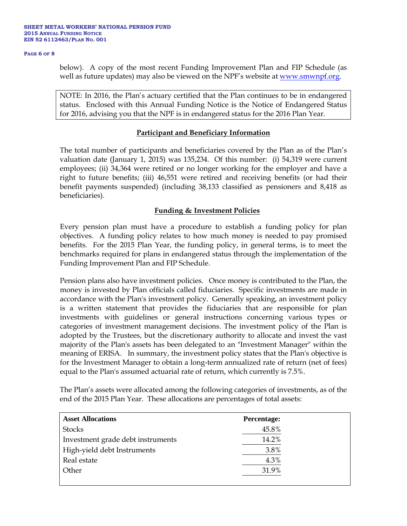#### **PAGE 6 OF 8**

below). A copy of the most recent Funding Improvement Plan and FIP Schedule (as well as future updates) may also be viewed on the NPF's website at [www.smwnpf.org.](http://www.smwnpf.org/)

NOTE: In 2016, the Plan's actuary certified that the Plan continues to be in endangered status. Enclosed with this Annual Funding Notice is the Notice of Endangered Status for 2016, advising you that the NPF is in endangered status for the 2016 Plan Year.

### **Participant and Beneficiary Information**

The total number of participants and beneficiaries covered by the Plan as of the Plan's valuation date (January 1, 2015) was 135,234. Of this number: (i) 54,319 were current employees; (ii) 34,364 were retired or no longer working for the employer and have a right to future benefits; (iii) 46,551 were retired and receiving benefits (or had their benefit payments suspended) (including 38,133 classified as pensioners and 8,418 as beneficiaries).

### **Funding & Investment Policies**

Every pension plan must have a procedure to establish a funding policy for plan objectives. A funding policy relates to how much money is needed to pay promised benefits. For the 2015 Plan Year, the funding policy, in general terms, is to meet the benchmarks required for plans in endangered status through the implementation of the Funding Improvement Plan and FIP Schedule.

Pension plans also have investment policies. Once money is contributed to the Plan, the money is invested by Plan officials called fiduciaries. Specific investments are made in accordance with the Plan's investment policy. Generally speaking, an investment policy is a written statement that provides the fiduciaries that are responsible for plan investments with guidelines or general instructions concerning various types or categories of investment management decisions. The investment policy of the Plan is adopted by the Trustees, but the discretionary authority to allocate and invest the vast majority of the Plan's assets has been delegated to an "Investment Manager" within the meaning of ERISA. In summary, the investment policy states that the Plan's objective is for the Investment Manager to obtain a long-term annualized rate of return (net of fees) equal to the Plan's assumed actuarial rate of return, which currently is 7.5%.

The Plan's assets were allocated among the following categories of investments, as of the end of the 2015 Plan Year. These allocations are percentages of total assets:

| <b>Asset Allocations</b>          | <b>Percentage:</b> |  |
|-----------------------------------|--------------------|--|
| <b>Stocks</b>                     | 45.8%              |  |
| Investment grade debt instruments | 14.2%              |  |
| High-yield debt Instruments       | 3.8%               |  |
| Real estate                       | 4.3%               |  |
| Other                             | 31.9%              |  |
|                                   |                    |  |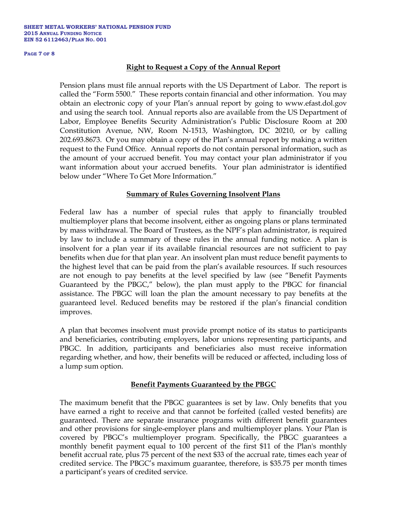**PAGE 7 OF 8**

## **Right to Request a Copy of the Annual Report**

Pension plans must file annual reports with the US Department of Labor. The report is called the "Form 5500." These reports contain financial and other information. You may obtain an electronic copy of your Plan's annual report by going to www.efast.dol.gov and using the search tool. Annual reports also are available from the US Department of Labor, Employee Benefits Security Administration's Public Disclosure Room at 200 Constitution Avenue, NW, Room N-1513, Washington, DC 20210, or by calling 202.693.8673. Or you may obtain a copy of the Plan's annual report by making a written request to the Fund Office. Annual reports do not contain personal information, such as the amount of your accrued benefit. You may contact your plan administrator if you want information about your accrued benefits. Your plan administrator is identified below under "Where To Get More Information."

## **Summary of Rules Governing Insolvent Plans**

Federal law has a number of special rules that apply to financially troubled multiemployer plans that become insolvent, either as ongoing plans or plans terminated by mass withdrawal. The Board of Trustees, as the NPF's plan administrator, is required by law to include a summary of these rules in the annual funding notice. A plan is insolvent for a plan year if its available financial resources are not sufficient to pay benefits when due for that plan year. An insolvent plan must reduce benefit payments to the highest level that can be paid from the plan's available resources. If such resources are not enough to pay benefits at the level specified by law (see "Benefit Payments Guaranteed by the PBGC," below), the plan must apply to the PBGC for financial assistance. The PBGC will loan the plan the amount necessary to pay benefits at the guaranteed level. Reduced benefits may be restored if the plan's financial condition improves.

A plan that becomes insolvent must provide prompt notice of its status to participants and beneficiaries, contributing employers, labor unions representing participants, and PBGC. In addition, participants and beneficiaries also must receive information regarding whether, and how, their benefits will be reduced or affected, including loss of a lump sum option.

### **Benefit Payments Guaranteed by the PBGC**

The maximum benefit that the PBGC guarantees is set by law. Only benefits that you have earned a right to receive and that cannot be forfeited (called vested benefits) are guaranteed. There are separate insurance programs with different benefit guarantees and other provisions for single-employer plans and multiemployer plans. Your Plan is covered by PBGC's multiemployer program. Specifically, the PBGC guarantees a monthly benefit payment equal to 100 percent of the first \$11 of the Plan's monthly benefit accrual rate, plus 75 percent of the next \$33 of the accrual rate, times each year of credited service. The PBGC's maximum guarantee, therefore, is \$35.75 per month times a participant's years of credited service.